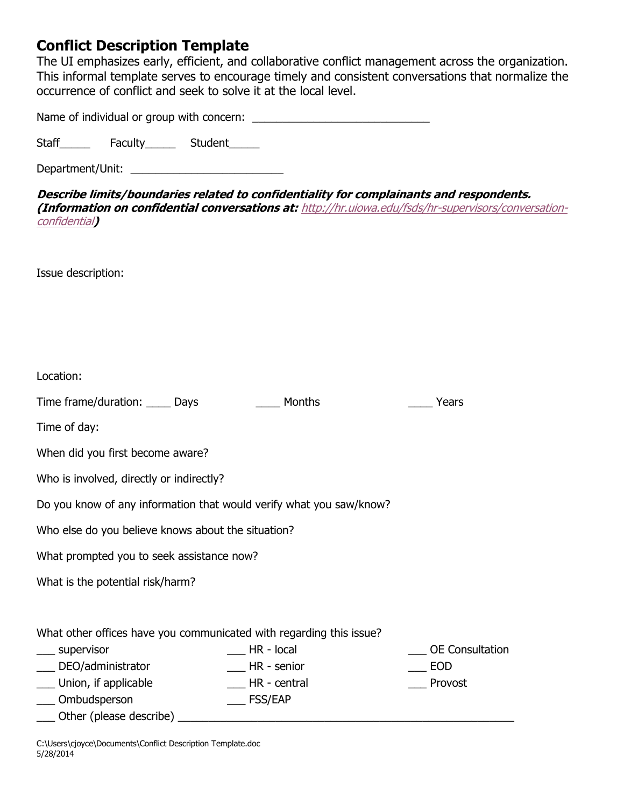## **Conflict Description Template**

The UI emphasizes early, efficient, and collaborative conflict management across the organization. This informal template serves to encourage timely and consistent conversations that normalize the occurrence of conflict and seek to solve it at the local level.

Name of individual or group with concern: \_\_\_\_\_\_\_\_\_\_\_\_\_\_\_\_\_\_\_\_\_\_\_\_\_\_\_\_\_

Staff\_\_\_\_\_\_\_ Faculty\_\_\_\_\_\_ Student\_\_\_\_\_

Department/Unit: \_\_\_\_\_\_\_\_\_\_\_\_\_\_\_\_\_\_\_\_\_\_\_\_\_

**Describe limits/boundaries related to confidentiality for complainants and respondents. (Information on confidential conversations at:** [http://hr.uiowa.edu/fsds/hr-supervisors/conversation](http://hr.uiowa.edu/fsds/hr-supervisors/conversation-confidential)[confidential](http://hr.uiowa.edu/fsds/hr-supervisors/conversation-confidential)**)**

Issue description:

| Location:                                                           |                                                                     |                        |
|---------------------------------------------------------------------|---------------------------------------------------------------------|------------------------|
| Time frame/duration: _____ Days                                     | Months                                                              | Years                  |
| Time of day:                                                        |                                                                     |                        |
| When did you first become aware?                                    |                                                                     |                        |
| Who is involved, directly or indirectly?                            |                                                                     |                        |
| Do you know of any information that would verify what you saw/know? |                                                                     |                        |
| Who else do you believe knows about the situation?                  |                                                                     |                        |
| What prompted you to seek assistance now?                           |                                                                     |                        |
| What is the potential risk/harm?                                    |                                                                     |                        |
|                                                                     |                                                                     |                        |
|                                                                     | What other offices have you communicated with regarding this issue? |                        |
| ___ supervisor                                                      | $H$ R - local                                                       | <b>OE</b> Consultation |
| DEO/administrator                                                   | HR - senior                                                         | <b>EOD</b>             |
| ___ Union, if applicable                                            | HR - central                                                        | Provost                |
| ___ Ombudsperson                                                    | <b>FSS/EAP</b>                                                      |                        |
| Other (please describe)                                             |                                                                     |                        |

C:\Users\cjoyce\Documents\Conflict Description Template.doc 5/28/2014